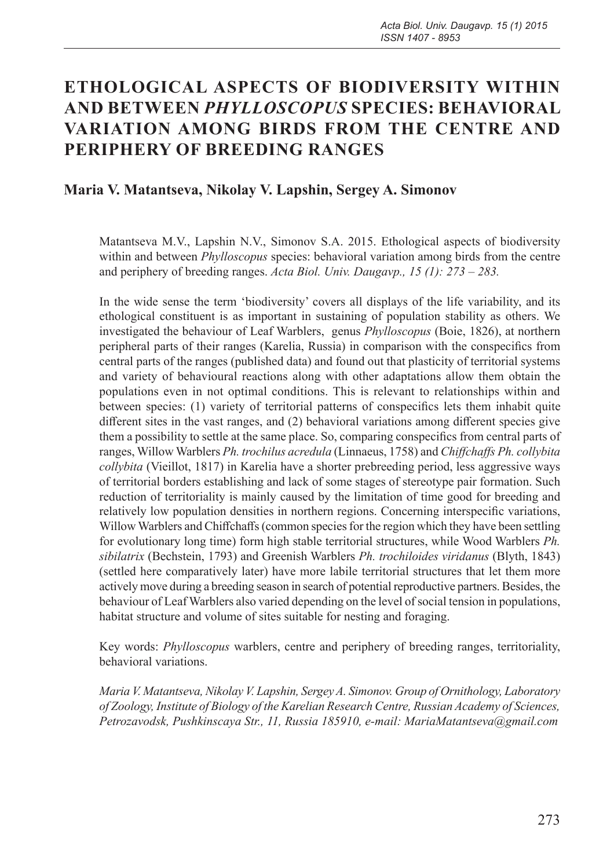# **ETHOLOGICAL ASPECTS OF BIODIVERSITY WITHIN AND BETWEEN** *PHYLLOSCOPUS* **SPECIES: BEHAVIORAL VARIATION AMONG BIRDS FROM THE CENTRE AND PERIPHERY OF BREEDING RANGES**

## **Maria V. Matantseva, Nikolay V. Lapshin, Sergey A. Simonov**

Matantseva M.V., Lapshin N.V., Simonov S.A. 2015. Ethological aspects of biodiversity within and between *Phylloscopus* species: behavioral variation among birds from the centre and periphery of breeding ranges. *Acta Biol. Univ. Daugavp., 15 (1): 273 – 283.*

In the wide sense the term 'biodiversity' covers all displays of the life variability, and its ethological constituent is as important in sustaining of population stability as others. We investigated the behaviour of Leaf Warblers, genus *Phylloscopus* (Boie, 1826), at northern peripheral parts of their ranges (Karelia, Russia) in comparison with the conspecifics from central parts of the ranges (published data) and found out that plasticity of territorial systems and variety of behavioural reactions along with other adaptations allow them obtain the populations even in not optimal conditions. This is relevant to relationships within and between species: (1) variety of territorial patterns of conspecifics lets them inhabit quite different sites in the vast ranges, and (2) behavioral variations among different species give them a possibility to settle at the same place. So, comparing conspecifics from central parts of ranges, Willow Warblers *Ph. trochilus acredula* (Linnaeus, 1758) and *Chiffchaffs Ph. collybita collybita* (Vieillot, 1817) in Karelia have a shorter prebreeding period, less aggressive ways of territorial borders establishing and lack of some stages of stereotype pair formation. Such reduction of territoriality is mainly caused by the limitation of time good for breeding and relatively low population densities in northern regions. Concerning interspecific variations, Willow Warblers and Chiffchaffs (common species for the region which they have been settling for evolutionary long time) form high stable territorial structures, while Wood Warblers *Ph. sibilatrix* (Bechstein, 1793) and Greenish Warblers *Ph. trochiloides viridanus* (Вlуth, 1843) (settled here comparatively later) have more labile territorial structures that let them more actively move during a breeding season in search of potential reproductive partners. Besides, the behaviour of Leaf Warblers also varied depending on the level of social tension in populations, habitat structure and volume of sites suitable for nesting and foraging.

Key words: *Phylloscopus* warblers, centre and periphery of breeding ranges, territoriality, behavioral variations.

*Maria V. Matantseva, Nikolay V. Lapshin, Sergey A. Simonov. Group of Ornithology, Laboratory of Zoology, Institute of Biology of the Karelian Research Centre, Russian Academy of Sciences, Petrozavodsk, Pushkinscaya Str., 11, Russia 185910, e-mail: MariaMatantseva@gmail.com*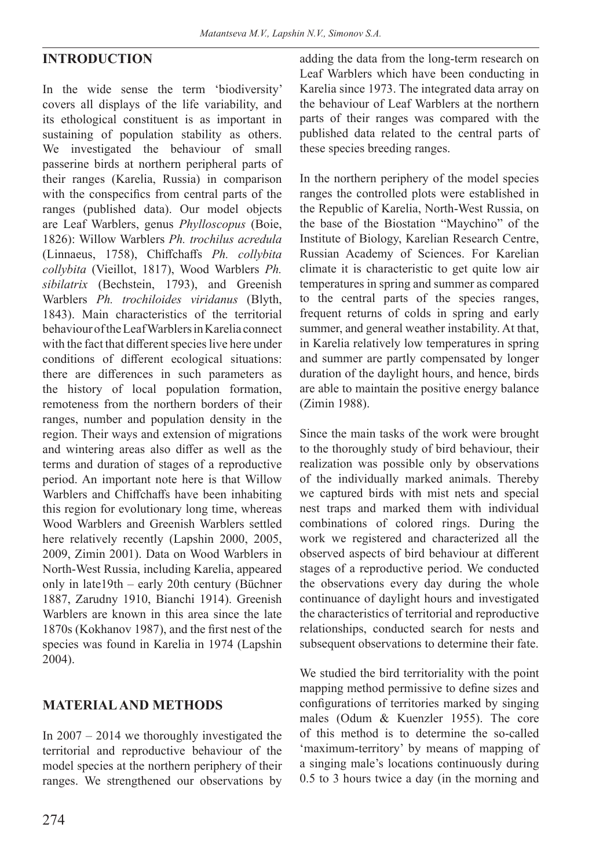### **INTRODUCTION**

In the wide sense the term 'biodiversity' covers all displays of the life variability, and its ethological constituent is as important in sustaining of population stability as others. We investigated the behaviour of small passerine birds at northern peripheral parts of their ranges (Karelia, Russia) in comparison with the conspecifics from central parts of the ranges (published data). Our model objects are Leaf Warblers, genus *Phylloscopus* (Boie, 1826): Willow Warblers *Ph. trochilus acredula* (Linnaeus, 1758), Chiffchaffs *Ph. collybita collybita* (Vieillot, 1817), Wood Warblers *Ph. sibilatrix* (Bechstein, 1793), and Greenish Warblers *Ph. trochiloides viridanus* (Вlуth, 1843). Main characteristics of the territorial behaviour of the Leaf Warblers in Karelia connect with the fact that different species live here under conditions of different ecological situations: there are differences in such parameters as the history of local population formation, remoteness from the northern borders of their ranges, number and population density in the region. Their ways and extension of migrations and wintering areas also differ as well as the terms and duration of stages of a reproductive period. An important note here is that Willow Warblers and Chiffchaffs have been inhabiting this region for evolutionary long time, whereas Wood Warblers and Greenish Warblers settled here relatively recently (Lapshin 2000, 2005, 2009, Zimin 2001). Data on Wood Warblers in North-West Russia, including Karelia, appeared only in late19th – early 20th century (Büchner 1887, Zarudny 1910, Bianchi 1914). Greenish Warblers are known in this area since the late 1870s (Kokhanov 1987), and the first nest of the species was found in Karelia in 1974 (Lapshin 2004).

#### **MATERIAL AND METHODS**

In 2007 – 2014 we thoroughly investigated the territorial and reproductive behaviour of the model species at the northern periphery of their ranges. We strengthened our observations by adding the data from the long-term research on Leaf Warblers which have been conducting in Karelia since 1973. The integrated data array on the behaviour of Leaf Warblers at the northern parts of their ranges was compared with the published data related to the central parts of these species breeding ranges.

In the northern periphery of the model species ranges the controlled plots were established in the Republic of Karelia, North-West Russia, on the base of the Biostation "Maychino" of the Institute of Biology, Karelian Research Centre, Russian Academy of Sciences. For Karelian climate it is characteristic to get quite low air temperatures in spring and summer as compared to the central parts of the species ranges, frequent returns of colds in spring and early summer, and general weather instability. At that, in Karelia relatively low temperatures in spring and summer are partly compensated by longer duration of the daylight hours, and hence, birds are able to maintain the positive energy balance (Zimin 1988).

Since the main tasks of the work were brought to the thoroughly study of bird behaviour, their realization was possible only by observations of the individually marked animals. Thereby we captured birds with mist nets and special nest traps and marked them with individual combinations of colored rings. During the work we registered and characterized all the observed aspects of bird behaviour at different stages of a reproductive period. We conducted the observations every day during the whole continuance of daylight hours and investigated the characteristics of territorial and reproductive relationships, conducted search for nests and subsequent observations to determine their fate.

We studied the bird territoriality with the point mapping method permissive to define sizes and configurations of territories marked by singing males (Odum & Kuenzler 1955). The core of this method is to determine the so-called 'maximum-territory' by means of mapping of a singing male's locations continuously during 0.5 to 3 hours twice a day (in the morning and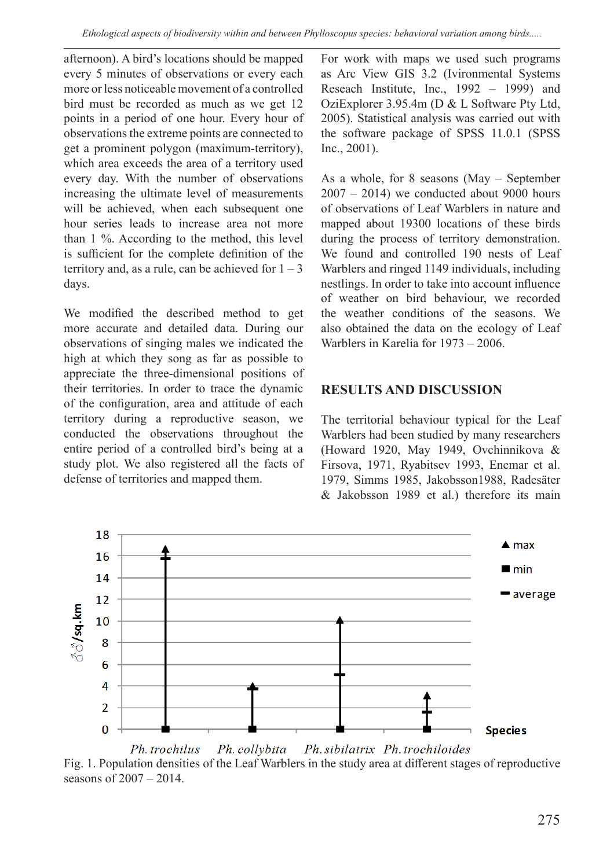afternoon). A bird's locations should be mapped every 5 minutes of observations or every each more or less noticeable movement of a controlled bird must be recorded as much as we get 12 points in a period of one hour. Every hour of observations the extreme points are connected to get a prominent polygon (maximum-territory), which area exceeds the area of a territory used every day. With the number of observations increasing the ultimate level of measurements will be achieved, when each subsequent one hour series leads to increase area not more than 1 %. According to the method, this level is sufficient for the complete definition of the territory and, as a rule, can be achieved for  $1 - 3$ days.

We modified the described method to get more accurate and detailed data. During our observations of singing males we indicated the high at which they song as far as possible to appreciate the three-dimensional positions of their territories. In order to trace the dynamic of the configuration, area and attitude of each territory during a reproductive season, we conducted the observations throughout the entire period of a controlled bird's being at a study plot. We also registered all the facts of defense of territories and mapped them.

For work with maps we used such programs as Arc View GIS 3.2 (Ivironmental Systems Reseach Institute, Inc., 1992 – 1999) and OziExplorer 3.95.4m (D & L Software Pty Ltd, 2005). Statistical analysis was carried out with the software package of SPSS 11.0.1 (SPSS Inc., 2001).

As a whole, for 8 seasons (May – September  $2007 - 2014$ ) we conducted about 9000 hours of observations of Leaf Warblers in nature and mapped about 19300 locations of these birds during the process of territory demonstration. We found and controlled 190 nests of Leaf Warblers and ringed 1149 individuals, including nestlings. In order to take into account influence of weather on bird behaviour, we recorded the weather conditions of the seasons. We also obtained the data on the ecology of Leaf Warblers in Karelia for 1973 – 2006.

#### **RESULTS AND DISCUSSION**

The territorial behaviour typical for the Leaf Warblers had been studied by many researchers (Howard 1920, May 1949, Ovchinnikova & Firsova, 1971, Ryabitsev 1993, Enemar et al. 1979, Simms 1985, Jakobsson1988, Radesäter & Jakobsson 1989 et al.) therefore its main



Ph. trochilus Ph. collybita Ph. sibilatrix Ph. trochiloides Fig. 1. Population densities of the Leaf Warblers in the study area at different stages of reproductive seasons of 2007 – 2014.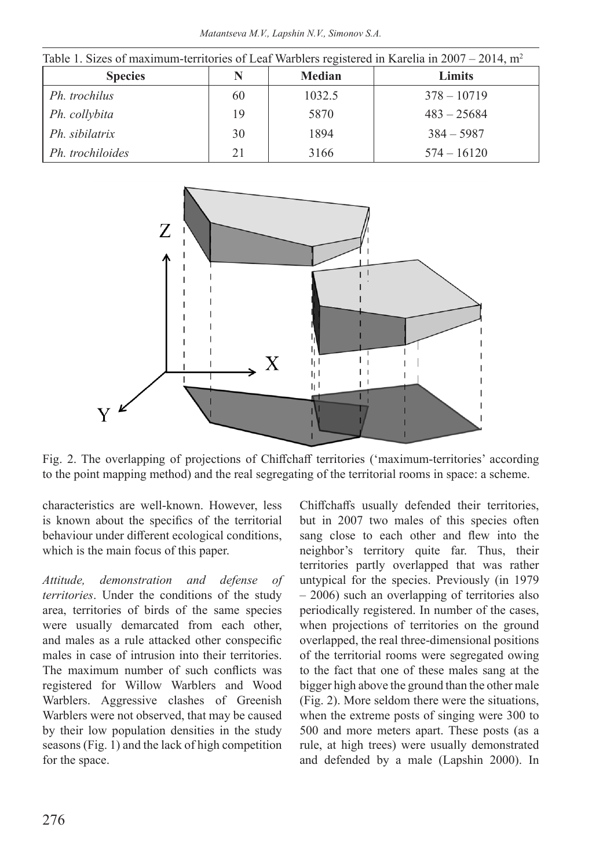*Matantseva M.V., Lapshin N.V., Simonov S.A.*

| Table 1. Sizes of maximum-territories of Leaf Warblers registered in Karelia in 2007 – 2014, $m^2$ |    |               |               |
|----------------------------------------------------------------------------------------------------|----|---------------|---------------|
| <b>Species</b>                                                                                     | N  | <b>Median</b> | Limits        |
| Ph. trochilus                                                                                      | 60 | 1032.5        | $378 - 10719$ |
| Ph. collybita                                                                                      | 19 | 5870          | $483 - 25684$ |
| Ph. sibilatrix                                                                                     | 30 | 1894          | $384 - 5987$  |
| Ph. trochiloides                                                                                   | 21 | 3166          | $574 - 16120$ |



Fig. 2. The overlapping of projections of Chiffchaff territories ('maximum-territories' according to the point mapping method) and the real segregating of the territorial rooms in space: a scheme.

characteristics are well-known. However, less is known about the specifics of the territorial behaviour under different ecological conditions, which is the main focus of this paper.

*Attitude, demonstration and defense of territories*. Under the conditions of the study area, territories of birds of the same species were usually demarcated from each other, and males as a rule attacked other conspecific males in case of intrusion into their territories. The maximum number of such conflicts was registered for Willow Warblers and Wood Warblers. Aggressive clashes of Greenish Warblers were not observed, that may be caused by their low population densities in the study seasons (Fig. 1) and the lack of high competition for the space.

Chiffchaffs usually defended their territories, but in 2007 two males of this species often sang close to each other and flew into the neighbor's territory quite far. Thus, their territories partly overlapped that was rather untypical for the species. Previously (in 1979 – 2006) such an overlapping of territories also periodically registered. In number of the cases, when projections of territories on the ground overlapped, the real three-dimensional positions of the territorial rooms were segregated owing to the fact that one of these males sang at the bigger high above the ground than the other male (Fig. 2). More seldom there were the situations, when the extreme posts of singing were 300 to 500 and more meters apart. These posts (as a rule, at high trees) were usually demonstrated and defended by a male (Lapshin 2000). In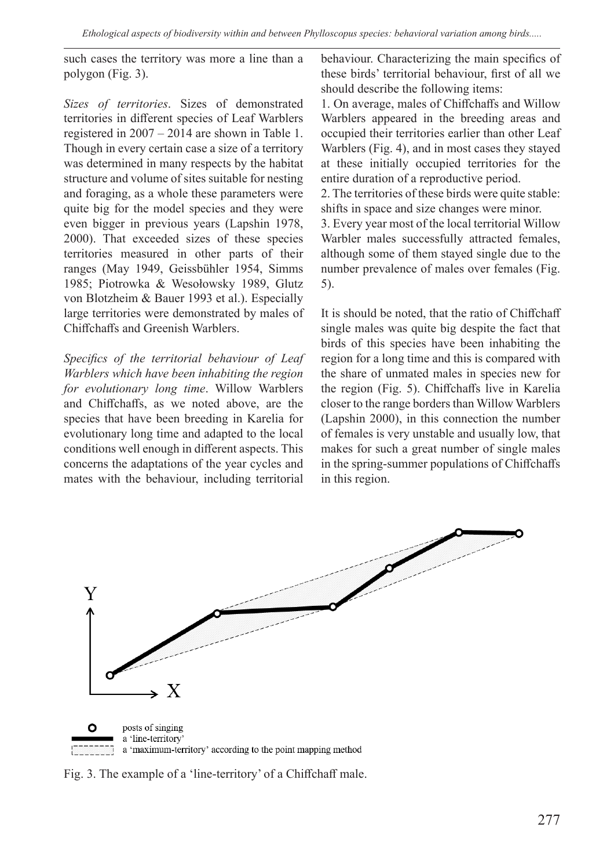such cases the territory was more a line than a polygon (Fig. 3).

*Sizes of territories*. Sizes of demonstrated territories in different species of Leaf Warblers registered in 2007 – 2014 are shown in Table 1. Though in every certain case a size of a territory was determined in many respects by the habitat structure and volume of sites suitable for nesting and foraging, as a whole these parameters were quite big for the model species and they were even bigger in previous years (Lapshin 1978, 2000). That exceeded sizes of these species territories measured in other parts of their ranges (May 1949, Geissbühler 1954, Simms 1985; Piotrowka & Wesołowsky 1989, Glutz von Blotzheim & Bauer 1993 et al.). Especially large territories were demonstrated by males of Chiffchaffs and Greenish Warblers.

*Specifics of the territorial behaviour of Leaf Warblers which have been inhabiting the region for evolutionary long time*. Willow Warblers and Chiffchaffs, as we noted above, are the species that have been breeding in Karelia for evolutionary long time and adapted to the local conditions well enough in different aspects. This concerns the adaptations of the year cycles and mates with the behaviour, including territorial

behaviour. Characterizing the main specifics of these birds' territorial behaviour, first of all we should describe the following items:

1. On average, males of Chiffchaffs and Willow Warblers appeared in the breeding areas and occupied their territories earlier than other Leaf Warblers (Fig. 4), and in most cases they stayed at these initially occupied territories for the entire duration of a reproductive period.

2. The territories of these birds were quite stable: shifts in space and size changes were minor.

3. Every year most of the local territorial Willow Warbler males successfully attracted females, although some of them stayed single due to the number prevalence of males over females (Fig. 5).

It is should be noted, that the ratio of Chiffchaff single males was quite big despite the fact that birds of this species have been inhabiting the region for a long time and this is compared with the share of unmated males in species new for the region (Fig. 5). Chiffchaffs live in Karelia closer to the range borders than Willow Warblers (Lapshin 2000), in this connection the number of females is very unstable and usually low, that makes for such a great number of single males in the spring-summer populations of Chiffchaffs in this region.



Fig. 3. The example of a 'line-territory' of a Chiffchaff male.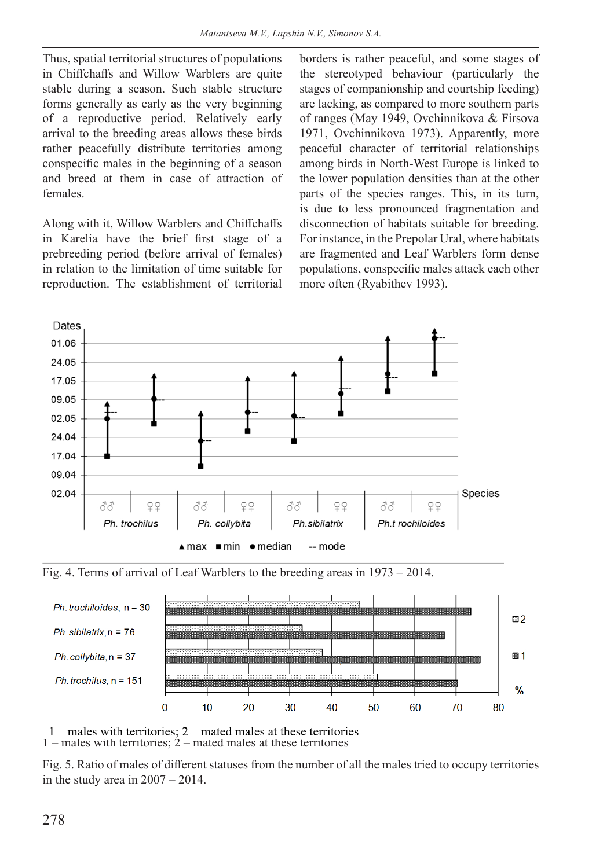Thus, spatial territorial structures of populations in Chiffchaffs and Willow Warblers are quite stable during a season. Such stable structure forms generally as early as the very beginning of a reproductive period. Relatively early arrival to the breeding areas allows these birds rather peacefully distribute territories among conspecific males in the beginning of a season and breed at them in case of attraction of females.

Along with it, Willow Warblers and Chiffchaffs in Karelia have the brief first stage of a prebreeding period (before arrival of females) in relation to the limitation of time suitable for reproduction. The establishment of territorial borders is rather peaceful, and some stages of the stereotyped behaviour (particularly the stages of companionship and courtship feeding) are lacking, as compared to more southern parts of ranges (May 1949, Ovchinnikova & Firsova 1971, Ovchinnikova 1973). Apparently, more peaceful character of territorial relationships among birds in North-West Europe is linked to the lower population densities than at the other parts of the species ranges. This, in its turn, is due to less pronounced fragmentation and disconnection of habitats suitable for breeding. For instance, in the Prepolar Ural, where habitats are fragmented and Leaf Warblers form dense populations, conspecific males attack each other more often (Ryabithev 1993).







 $1$  – males with territories;  $2$  – mated males at these territories 1 – males with territories; 2 – mated males at these territories

Fig. 5. Ratio of males of different statuses from the number of all the males tried to occupy territories in the study area in 2007 – 2014.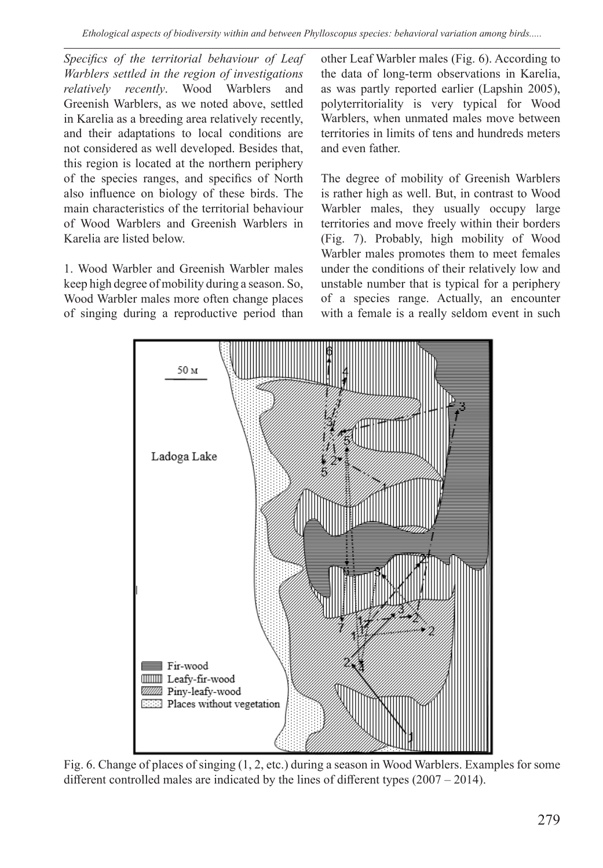*Specifics of the territorial behaviour of Leaf Warblers settled in the region of investigations relatively recently*. Wood Warblers and Greenish Warblers, as we noted above, settled in Karelia as a breeding area relatively recently, and their adaptations to local conditions are not considered as well developed. Besides that, this region is located at the northern periphery of the species ranges, and specifics of North also influence on biology of these birds. The main characteristics of the territorial behaviour of Wood Warblers and Greenish Warblers in Karelia are listed below.

1. Wood Warbler and Greenish Warbler males keep high degree of mobility during a season. So, Wood Warbler males more often change places of singing during a reproductive period than other Leaf Warbler males (Fig. 6). According to the data of long-term observations in Karelia, as was partly reported earlier (Lapshin 2005), polyterritoriality is very typical for Wood Warblers, when unmated males move between territories in limits of tens and hundreds meters and even father.

The degree of mobility of Greenish Warblers is rather high as well. But, in contrast to Wood Warbler males, they usually occupy large territories and move freely within their borders (Fig. 7). Probably, high mobility of Wood Warbler males promotes them to meet females under the conditions of their relatively low and unstable number that is typical for a periphery of a species range. Actually, an encounter with a female is a really seldom event in such



Fig. 6. Change of places of singing (1, 2, etc.) during a season in Wood Warblers. Examples for some different controlled males are indicated by the lines of different types (2007 – 2014).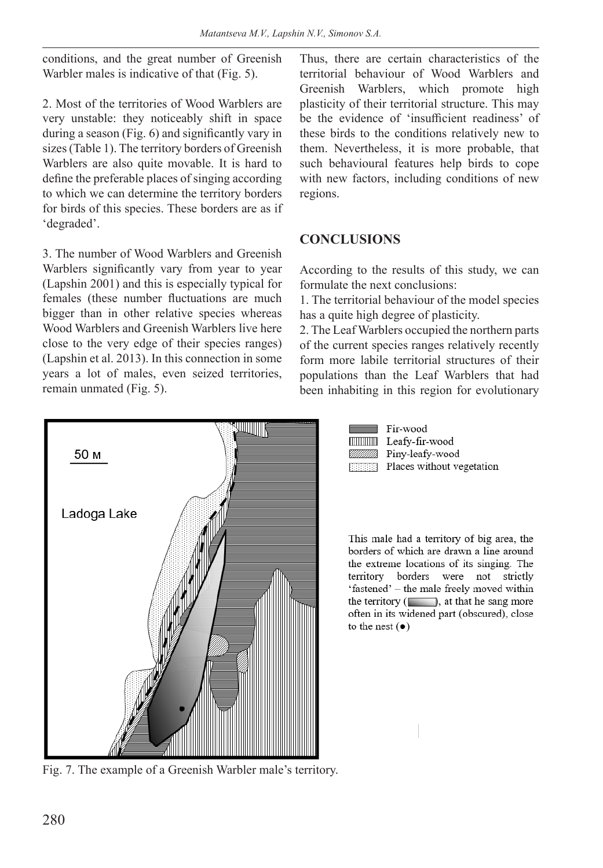conditions, and the great number of Greenish Warbler males is indicative of that (Fig. 5).

2. Most of the territories of Wood Warblers are very unstable: they noticeably shift in space during a season (Fig. 6) and significantly vary in sizes (Table 1). The territory borders of Greenish Warblers are also quite movable. It is hard to define the preferable places of singing according to which we can determine the territory borders for birds of this species. These borders are as if 'degraded'.

3. The number of Wood Warblers and Greenish Warblers significantly vary from year to year (Lapshin 2001) and this is especially typical for females (these number fluctuations are much bigger than in other relative species whereas Wood Warblers and Greenish Warblers live here close to the very edge of their species ranges) (Lapshin et al. 2013). In this connection in some years a lot of males, even seized territories, remain unmated (Fig. 5).



Thus, there are certain characteristics of the territorial behaviour of Wood Warblers and Greenish Warblers, which promote high plasticity of their territorial structure. This may be the evidence of 'insufficient readiness' of these birds to the conditions relatively new to them. Nevertheless, it is more probable, that such behavioural features help birds to cope with new factors, including conditions of new regions.

### **CONCLUSIONS**

According to the results of this study, we can formulate the next conclusions:

1. The territorial behaviour of the model species has a quite high degree of plasticity.

2. The Leaf Warblers occupied the northern parts of the current species ranges relatively recently form more labile territorial structures of their populations than the Leaf Warblers that had been inhabiting in this region for evolutionary



Fir-wood **IIIIIIIIII** Leafy-fir-wood Piny-leafy-wood

**EXECUTE:** Places without vegetation

This male had a territory of big area, the borders of which are drawn a line around the extreme locations of its singing. The territory borders were not strictly 'fastened' - the male freely moved within the territory  $($ , at that he sang more often in its widened part (obscured), close to the nest  $(\bullet)$ 

Fig. 7. The example of a Greenish Warbler male's territory.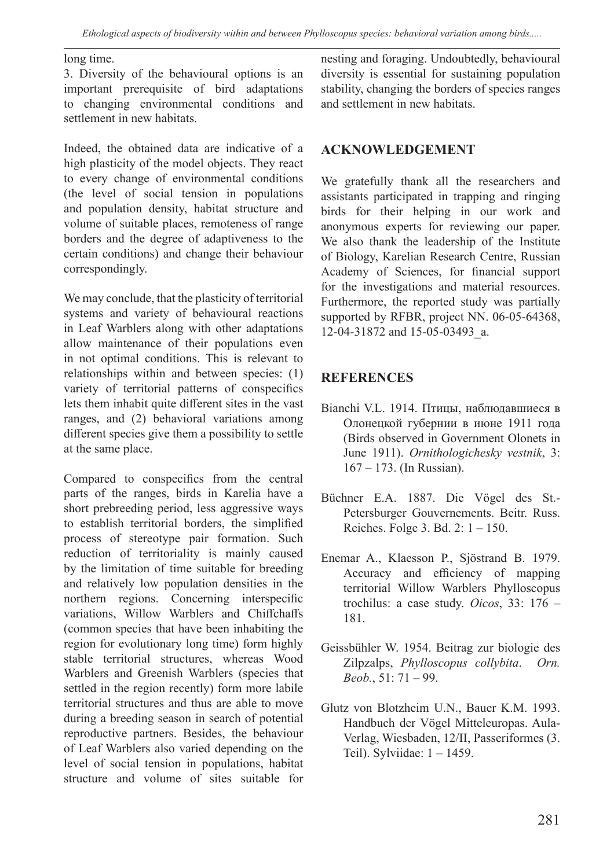#### long time.

3. Diversity of the behavioural options is an important prerequisite of bird adaptations to changing environmental conditions and settlement in new habitats.

Indeed, the obtained data are indicative of a high plasticity of the model objects. They react to every change of environmental conditions (the level of social tension in populations and population density, habitat structure and volume of suitable places, remoteness of range borders and the degree of adaptiveness to the certain conditions) and change their behaviour correspondingly.

We may conclude, that the plasticity of territorial systems and variety of behavioural reactions in Leaf Warblers along with other adaptations allow maintenance of their populations even in not optimal conditions. This is relevant to relationships within and between species: (1) variety of territorial patterns of conspecifics lets them inhabit quite different sites in the vast ranges, and (2) behavioral variations among different species give them a possibility to settle at the same place.

Compared to conspecifics from the central parts of the ranges, birds in Karelia have a short prebreeding period, less aggressive ways to establish territorial borders, the simplified process of stereotype pair formation. Such reduction of territoriality is mainly caused by the limitation of time suitable for breeding and relatively low population densities in the northern regions. Concerning interspecific variations, Willow Warblers and Chiffchaffs (common species that have been inhabiting the region for evolutionary long time) form highly stable territorial structures, whereas Wood Warblers and Greenish Warblers (species that settled in the region recently) form more labile territorial structures and thus are able to move during a breeding season in search of potential reproductive partners. Besides, the behaviour of Leaf Warblers also varied depending on the level of social tension in populations, habitat structure and volume of sites suitable for

nesting and foraging. Undoubtedly, behavioural diversity is essential for sustaining population stability, changing the borders of species ranges and settlement in new habitats.

#### **ACKNOWLEDGEMENT**

We gratefully thank all the researchers and assistants participated in trapping and ringing birds for their helping in our work and anonymous experts for reviewing our paper. We also thank the leadership of the Institute of Biology, Karelian Research Centre, Russian Academy of Sciences, for financial support for the investigations and material resources. Furthermore, the reported study was partially supported by RFBR, project NN. 06-05-64368, 12-04-31872 and 15-05-03493\_a.

#### **REFERENCES**

- Bianchi V.L. 1914. Птицы, наблюдавшиеся в Олонецкой губернии в июне 1911 года (Birds observed in Government Olonets in June 1911). *Ornithologichesky vestnik*, 3: 167 – 173. (In Russian).
- Büchner E.A. 1887. Die Vögel des St.- Petersburger Gouvernements. Beitr. Russ. Reiches. Folge 3. Bd. 2: 1 – 150.
- Enemar A., Klaesson P., Sjöstrand B. 1979. Accuracy and efficiency of mapping territorial Willow Warblers Phylloscopus trochilus: a case study. *Oicos*, 33: 176 – 181.
- Geissbühler W. 1954. Beitrag zur biologie des Zilpzalps, *Phylloscopus collybita*. *Orn. Beob.*, 51: 71 – 99.
- Glutz von Blotzheim U.N., Bauer K.M. 1993. Handbuch der Vögel Mitteleuropas. Aula-Verlag, Wiesbaden, 12/II, Passeriformes (3. Teil). Sylviidae: 1 – 1459.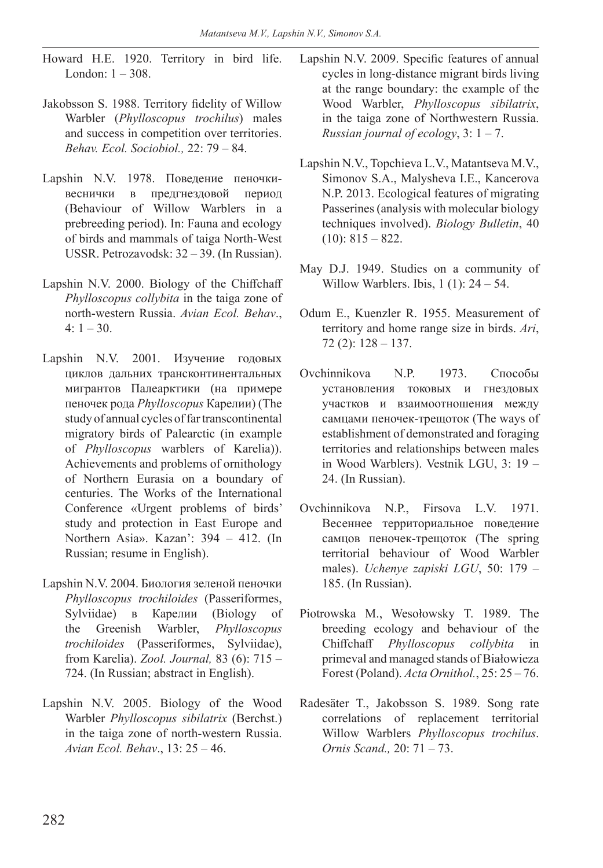- Howard H.E. 1920. Territory in bird life. London: 1 – 308.
- Jakobsson S. 1988. Territory fidelity of Willow Warbler (*Phylloscopus trochilus*) males and success in competition over territories. *Behav. Ecol. Sociobiol.,* 22: 79 – 84.
- Lapshin N.V. 1978. Поведение пеночкивеснички в предгнездовой период (Behaviour of Willow Warblers in a prebreeding period). In: Fauna and ecology of birds and mammals of taiga North-West USSR. Petrozavodsk: 32 – 39. (In Russian).
- Lapshin N.V. 2000. Biology of the Chiffchaff *Phylloscopus collybita* in the taiga zone of north-western Russia. *Avian Ecol. Behav*.,  $4: 1 - 30.$
- Lapshin N.V. 2001. Изучение годовых циклов дальних трансконтинентальных мигрантов Палеарктики (на примере пеночек рода *Phylloscopus* Карелии) (The study of annual cycles of far transcontinental migratory birds of Palearctic (in example of *Phylloscopus* warblers of Karelia)). Achievements and problems of ornithology of Northern Eurasia on a boundary of centuries. The Works of the International Conference «Urgent problems of birds' study and protection in East Europe and Northern Asia». Kazan': 394 – 412. (In Russian; resume in English).
- Lapshin N.V. 2004. Биология зеленой пеночки *Phylloscopus trochiloides* (Passeriformes, Sylviidae) в Карелии (Biology of the Greenish Warbler, *Phylloscopus trochiloides* (Passeriformes, Sylviidae), from Karelia). *Zool. Journal,* 83 (6): 715 – 724. (In Russian; abstract in English).
- Lapshin N.V. 2005. Biology of the Wood Warbler *Phylloscopus sibilatrix* (Berchst.) in the taiga zone of north-western Russia. *Avian Ecol. Behav*., 13: 25 – 46.
- Lapshin N.V. 2009. Specific features of annual cycles in long-distance migrant birds living at the range boundary: the example of the Wood Warbler, *Phylloscopus sibilatrix*, in the taiga zone of Northwestern Russia. *Russian journal of ecology*, 3: 1 – 7.
- Lapshin N.V., Topchieva L.V., Matantseva M.V., Simonov S.A., Malysheva I.E., Kancerova N.P. 2013. Ecological features of migrating Passerines (analysis with molecular biology techniques involved). *Biology Bulletin*, 40  $(10): 815 - 822.$
- May D.J. 1949. Studies on a community of Willow Warblers. Ibis,  $1(1)$ : 24 – 54.
- Odum E., Kuenzler R. 1955. Measurement of territory and home range size in birds. *Ari*, 72 (2): 128 – 137.
- Ovchinnikova N.P. 1973. Способы установления токовых и гнездовых участков и взаимоотношения между самцами пеночек-трещоток (The ways of establishment of demonstrated and foraging territories and relationships between males in Wood Warblers). Vestnik LGU, 3: 19 – 24. (In Russian).
- Ovchinnikova N.P., Firsova L.V. 1971. Весеннее территориальное поведение самцов пеночек-трещоток (The spring territorial behaviour of Wood Warbler males). *Uchenye zapiski LGU*, 50: 179 – 185. (In Russian).
- Piotrowska M., Wesołowsky T. 1989. The breeding ecology and behaviour of the Chiffchaff *Phylloscopus collybita* in primeval and managed stands of Białowieza Forest (Poland). *Acta Ornithol.*, 25: 25 – 76.
- Radesäter T., Jakobsson S. 1989. Song rate correlations of replacement territorial Willow Warblers *Phylloscopus trochilus*. *Ornis Scand.,* 20: 71 – 73.